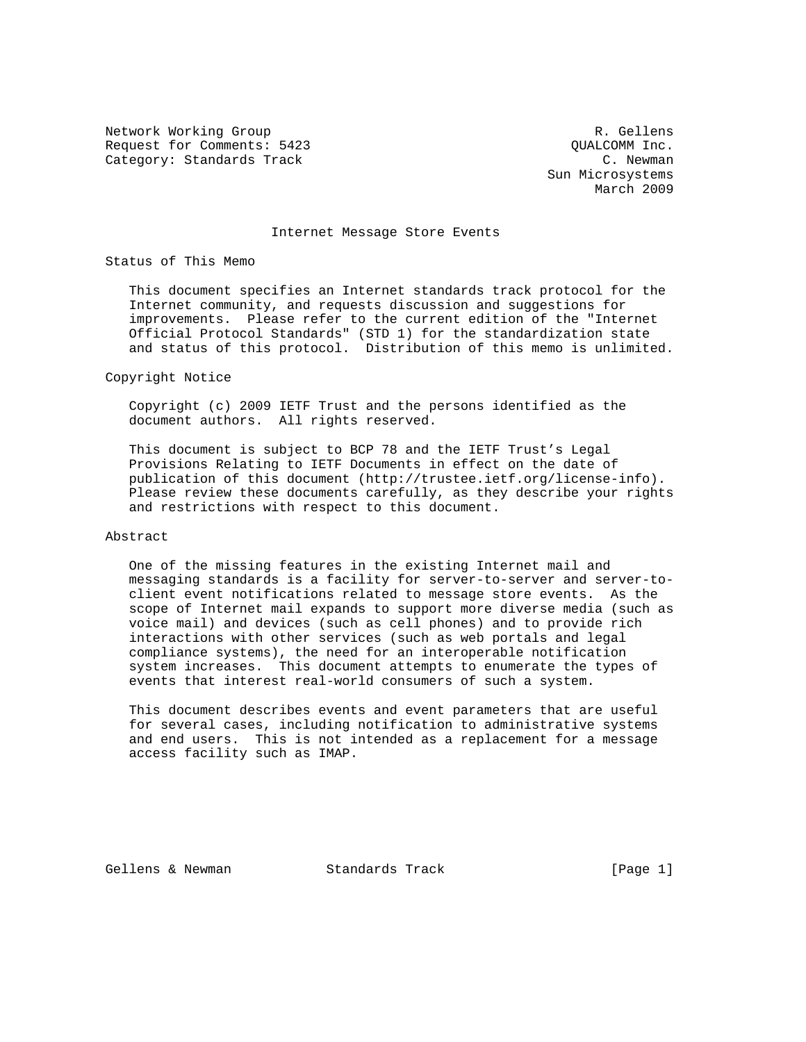Network Working Group and the set of the set of the set of the R. Gellens Request for Comments: 5423 QUALCOMM Inc. Category: Standards Track C. Newman C. Newman

 Sun Microsystems March 2009

### Internet Message Store Events

Status of This Memo

 This document specifies an Internet standards track protocol for the Internet community, and requests discussion and suggestions for improvements. Please refer to the current edition of the "Internet Official Protocol Standards" (STD 1) for the standardization state and status of this protocol. Distribution of this memo is unlimited.

Copyright Notice

 Copyright (c) 2009 IETF Trust and the persons identified as the document authors. All rights reserved.

 This document is subject to BCP 78 and the IETF Trust's Legal Provisions Relating to IETF Documents in effect on the date of publication of this document (http://trustee.ietf.org/license-info). Please review these documents carefully, as they describe your rights and restrictions with respect to this document.

### Abstract

 One of the missing features in the existing Internet mail and messaging standards is a facility for server-to-server and server-to client event notifications related to message store events. As the scope of Internet mail expands to support more diverse media (such as voice mail) and devices (such as cell phones) and to provide rich interactions with other services (such as web portals and legal compliance systems), the need for an interoperable notification system increases. This document attempts to enumerate the types of events that interest real-world consumers of such a system.

 This document describes events and event parameters that are useful for several cases, including notification to administrative systems and end users. This is not intended as a replacement for a message access facility such as IMAP.

Gellens & Newman Standards Track (Page 1)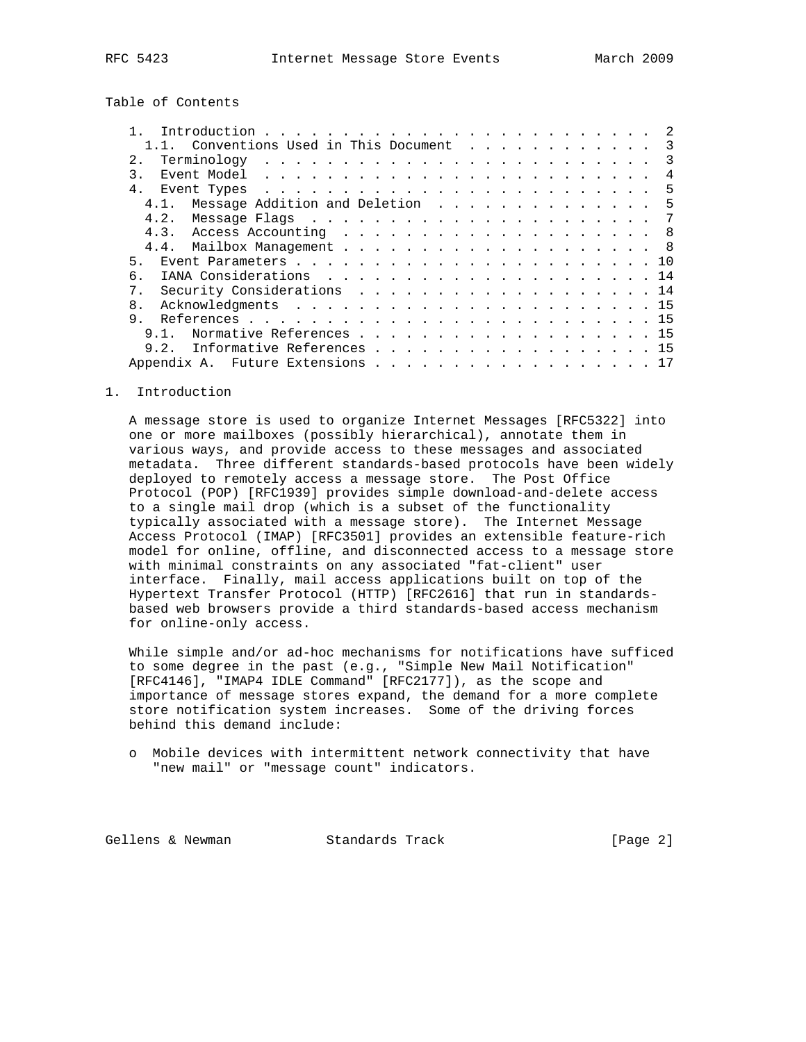Table of Contents

| 1.1. Conventions Used in This Document 3                                                                                     |
|------------------------------------------------------------------------------------------------------------------------------|
| 2.<br>$\mathcal{E}$                                                                                                          |
| Event Model, $\cdots$ , $\cdots$ , $\cdots$ , $\cdots$ , $\cdots$ , $\cdots$ , $\cdots$ , $\cdots$ , $\cdots$ , $\cdots$     |
| 4 <sub>1</sub><br>Event Types $\cdots$ $\cdots$ $\cdots$ $\cdots$ $\cdots$ $\cdots$ $\cdots$ $\cdots$ $\cdots$ $\cdots$<br>5 |
| Message Addition and Deletion 5<br>4.1                                                                                       |
| 4.2. Message Flags 7                                                                                                         |
| 4.3. Access Accounting 8                                                                                                     |
| 4.4. Mailbox Management 8                                                                                                    |
| 5                                                                                                                            |
| б.                                                                                                                           |
| 7 <sub>1</sub><br>Security Considerations 14                                                                                 |
| 8.                                                                                                                           |
| 9.                                                                                                                           |
| Normative References 15<br>9 1                                                                                               |
| Informative References 15<br>9.2.                                                                                            |
| Appendix A. Future Extensions 17                                                                                             |

### 1. Introduction

 A message store is used to organize Internet Messages [RFC5322] into one or more mailboxes (possibly hierarchical), annotate them in various ways, and provide access to these messages and associated metadata. Three different standards-based protocols have been widely deployed to remotely access a message store. The Post Office Protocol (POP) [RFC1939] provides simple download-and-delete access to a single mail drop (which is a subset of the functionality typically associated with a message store). The Internet Message Access Protocol (IMAP) [RFC3501] provides an extensible feature-rich model for online, offline, and disconnected access to a message store with minimal constraints on any associated "fat-client" user interface. Finally, mail access applications built on top of the Hypertext Transfer Protocol (HTTP) [RFC2616] that run in standards based web browsers provide a third standards-based access mechanism for online-only access.

 While simple and/or ad-hoc mechanisms for notifications have sufficed to some degree in the past (e.g., "Simple New Mail Notification" [RFC4146], "IMAP4 IDLE Command" [RFC2177]), as the scope and importance of message stores expand, the demand for a more complete store notification system increases. Some of the driving forces behind this demand include:

 o Mobile devices with intermittent network connectivity that have "new mail" or "message count" indicators.

Gellens & Newman Standards Track (Page 2)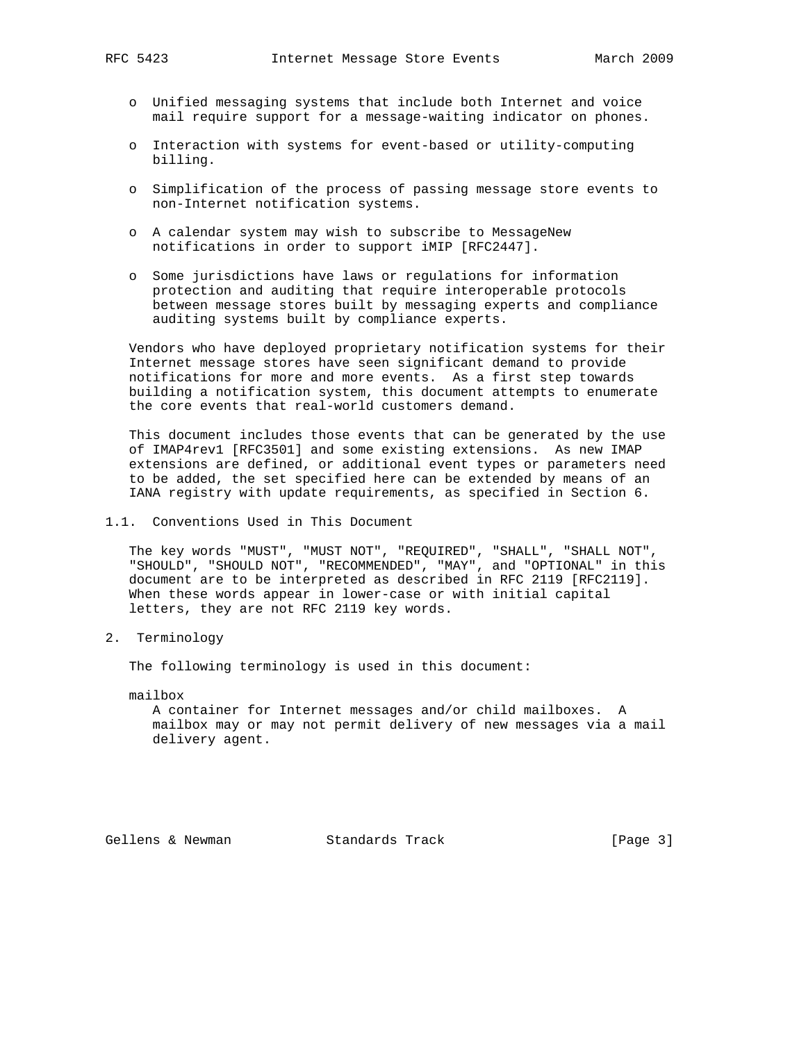- o Unified messaging systems that include both Internet and voice mail require support for a message-waiting indicator on phones.
- o Interaction with systems for event-based or utility-computing billing.
- o Simplification of the process of passing message store events to non-Internet notification systems.
- o A calendar system may wish to subscribe to MessageNew notifications in order to support iMIP [RFC2447].
- o Some jurisdictions have laws or regulations for information protection and auditing that require interoperable protocols between message stores built by messaging experts and compliance auditing systems built by compliance experts.

 Vendors who have deployed proprietary notification systems for their Internet message stores have seen significant demand to provide notifications for more and more events. As a first step towards building a notification system, this document attempts to enumerate the core events that real-world customers demand.

 This document includes those events that can be generated by the use of IMAP4rev1 [RFC3501] and some existing extensions. As new IMAP extensions are defined, or additional event types or parameters need to be added, the set specified here can be extended by means of an IANA registry with update requirements, as specified in Section 6.

1.1. Conventions Used in This Document

 The key words "MUST", "MUST NOT", "REQUIRED", "SHALL", "SHALL NOT", "SHOULD", "SHOULD NOT", "RECOMMENDED", "MAY", and "OPTIONAL" in this document are to be interpreted as described in RFC 2119 [RFC2119]. When these words appear in lower-case or with initial capital letters, they are not RFC 2119 key words.

2. Terminology

The following terminology is used in this document:

mailbox

 A container for Internet messages and/or child mailboxes. A mailbox may or may not permit delivery of new messages via a mail delivery agent.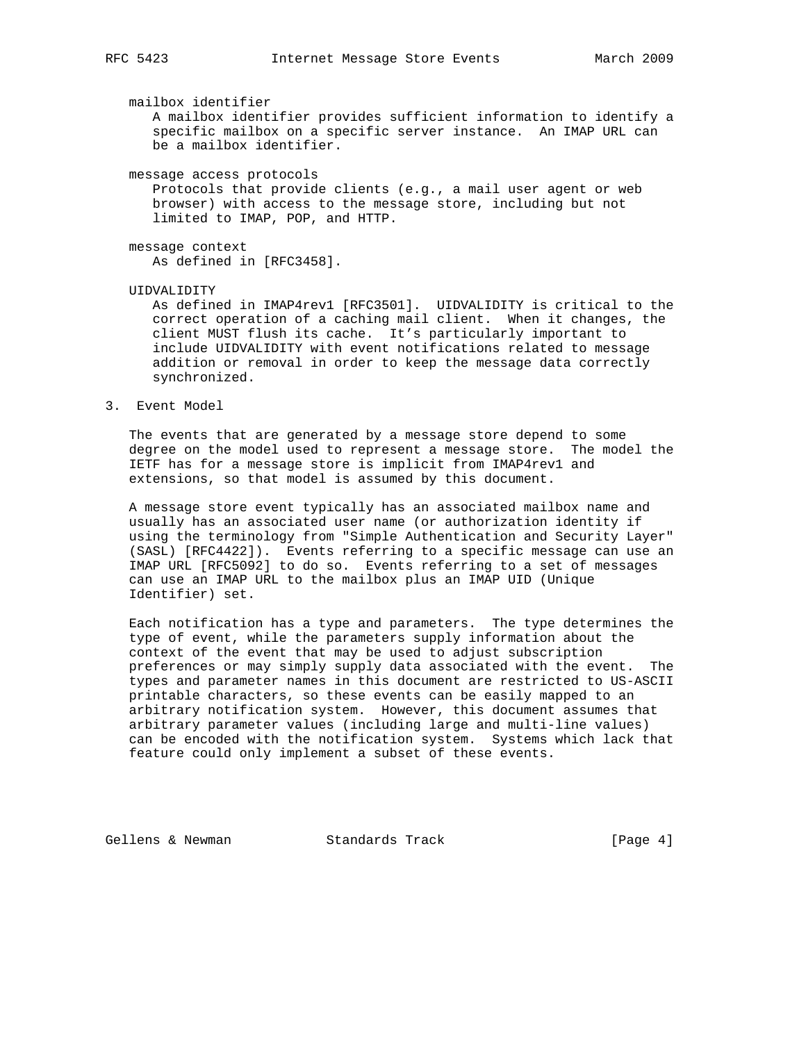mailbox identifier

 A mailbox identifier provides sufficient information to identify a specific mailbox on a specific server instance. An IMAP URL can be a mailbox identifier.

message access protocols

 Protocols that provide clients (e.g., a mail user agent or web browser) with access to the message store, including but not limited to IMAP, POP, and HTTP.

 message context As defined in [RFC3458].

UIDVALIDITY

 As defined in IMAP4rev1 [RFC3501]. UIDVALIDITY is critical to the correct operation of a caching mail client. When it changes, the client MUST flush its cache. It's particularly important to include UIDVALIDITY with event notifications related to message addition or removal in order to keep the message data correctly synchronized.

3. Event Model

 The events that are generated by a message store depend to some degree on the model used to represent a message store. The model the IETF has for a message store is implicit from IMAP4rev1 and extensions, so that model is assumed by this document.

 A message store event typically has an associated mailbox name and usually has an associated user name (or authorization identity if using the terminology from "Simple Authentication and Security Layer" (SASL) [RFC4422]). Events referring to a specific message can use an IMAP URL [RFC5092] to do so. Events referring to a set of messages can use an IMAP URL to the mailbox plus an IMAP UID (Unique Identifier) set.

 Each notification has a type and parameters. The type determines the type of event, while the parameters supply information about the context of the event that may be used to adjust subscription preferences or may simply supply data associated with the event. The types and parameter names in this document are restricted to US-ASCII printable characters, so these events can be easily mapped to an arbitrary notification system. However, this document assumes that arbitrary parameter values (including large and multi-line values) can be encoded with the notification system. Systems which lack that feature could only implement a subset of these events.

Gellens & Newman Standards Track (Page 4)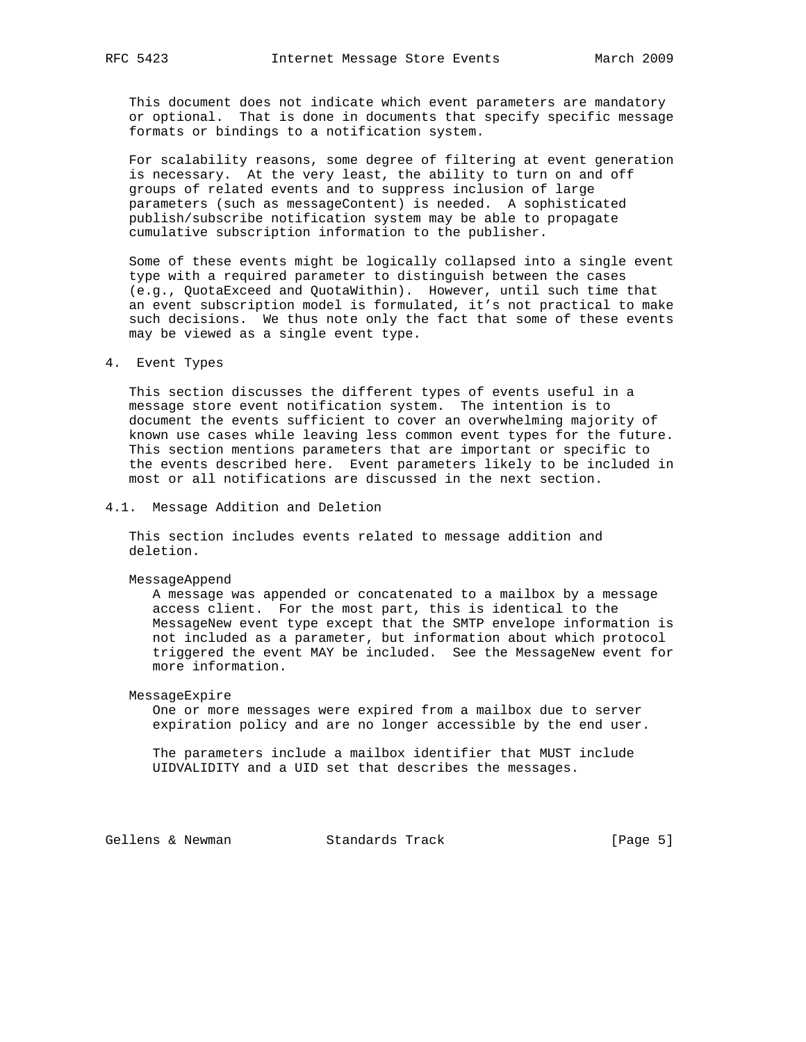This document does not indicate which event parameters are mandatory or optional. That is done in documents that specify specific message formats or bindings to a notification system.

 For scalability reasons, some degree of filtering at event generation is necessary. At the very least, the ability to turn on and off groups of related events and to suppress inclusion of large parameters (such as messageContent) is needed. A sophisticated publish/subscribe notification system may be able to propagate cumulative subscription information to the publisher.

 Some of these events might be logically collapsed into a single event type with a required parameter to distinguish between the cases (e.g., QuotaExceed and QuotaWithin). However, until such time that an event subscription model is formulated, it's not practical to make such decisions. We thus note only the fact that some of these events may be viewed as a single event type.

### 4. Event Types

 This section discusses the different types of events useful in a message store event notification system. The intention is to document the events sufficient to cover an overwhelming majority of known use cases while leaving less common event types for the future. This section mentions parameters that are important or specific to the events described here. Event parameters likely to be included in most or all notifications are discussed in the next section.

4.1. Message Addition and Deletion

 This section includes events related to message addition and deletion.

MessageAppend

 A message was appended or concatenated to a mailbox by a message access client. For the most part, this is identical to the MessageNew event type except that the SMTP envelope information is not included as a parameter, but information about which protocol triggered the event MAY be included. See the MessageNew event for more information.

MessageExpire

 One or more messages were expired from a mailbox due to server expiration policy and are no longer accessible by the end user.

 The parameters include a mailbox identifier that MUST include UIDVALIDITY and a UID set that describes the messages.

Gellens & Newman Standards Track [Page 5]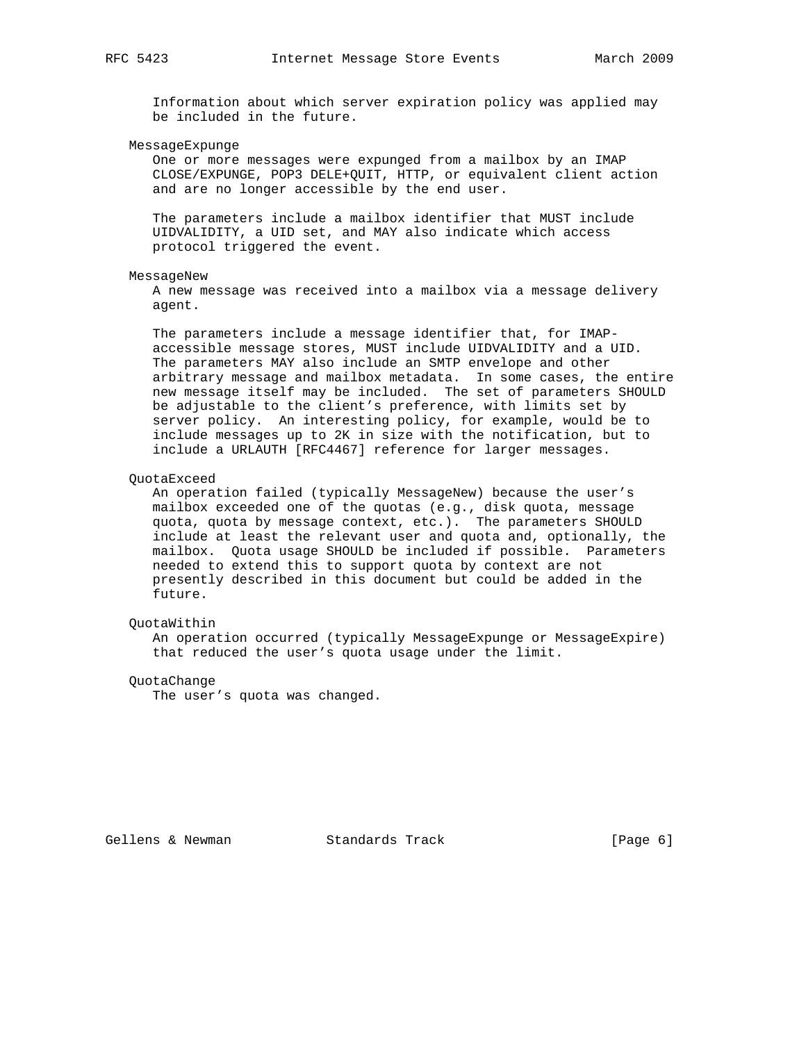Information about which server expiration policy was applied may be included in the future.

MessageExpunge

 One or more messages were expunged from a mailbox by an IMAP CLOSE/EXPUNGE, POP3 DELE+QUIT, HTTP, or equivalent client action and are no longer accessible by the end user.

 The parameters include a mailbox identifier that MUST include UIDVALIDITY, a UID set, and MAY also indicate which access protocol triggered the event.

### MessageNew

 A new message was received into a mailbox via a message delivery agent.

 The parameters include a message identifier that, for IMAP accessible message stores, MUST include UIDVALIDITY and a UID. The parameters MAY also include an SMTP envelope and other arbitrary message and mailbox metadata. In some cases, the entire new message itself may be included. The set of parameters SHOULD be adjustable to the client's preference, with limits set by server policy. An interesting policy, for example, would be to include messages up to 2K in size with the notification, but to include a URLAUTH [RFC4467] reference for larger messages.

### QuotaExceed

An operation failed (typically MessageNew) because the user's mailbox exceeded one of the quotas (e.g., disk quota, message quota, quota by message context, etc.). The parameters SHOULD include at least the relevant user and quota and, optionally, the mailbox. Quota usage SHOULD be included if possible. Parameters needed to extend this to support quota by context are not presently described in this document but could be added in the future.

### QuotaWithin

 An operation occurred (typically MessageExpunge or MessageExpire) that reduced the user's quota usage under the limit.

### QuotaChange

The user's quota was changed.

Gellens & Newman Standards Track [Page 6]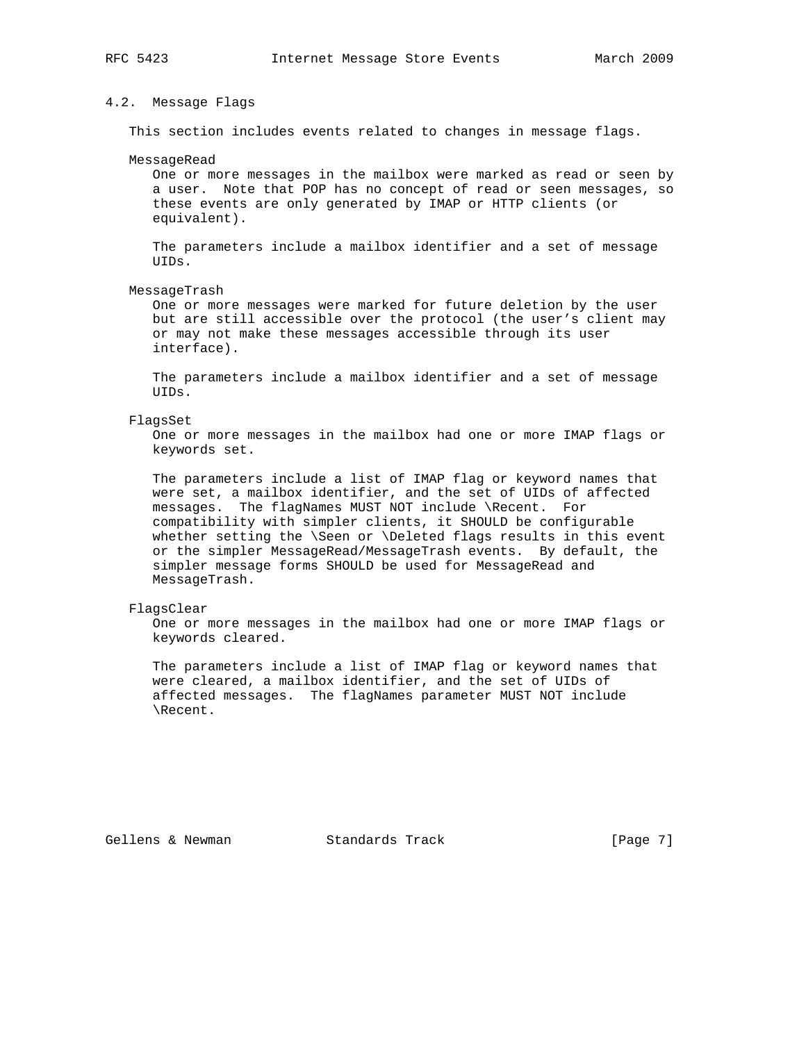### 4.2. Message Flags

This section includes events related to changes in message flags.

### MessageRead

 One or more messages in the mailbox were marked as read or seen by a user. Note that POP has no concept of read or seen messages, so these events are only generated by IMAP or HTTP clients (or equivalent).

 The parameters include a mailbox identifier and a set of message  $IITDS$ 

### MessageTrash

 One or more messages were marked for future deletion by the user but are still accessible over the protocol (the user's client may or may not make these messages accessible through its user interface).

 The parameters include a mailbox identifier and a set of message UIDs.

### FlagsSet

 One or more messages in the mailbox had one or more IMAP flags or keywords set.

 The parameters include a list of IMAP flag or keyword names that were set, a mailbox identifier, and the set of UIDs of affected messages. The flagNames MUST NOT include \Recent. For compatibility with simpler clients, it SHOULD be configurable whether setting the \Seen or \Deleted flags results in this event or the simpler MessageRead/MessageTrash events. By default, the simpler message forms SHOULD be used for MessageRead and MessageTrash.

### FlagsClear

 One or more messages in the mailbox had one or more IMAP flags or keywords cleared.

 The parameters include a list of IMAP flag or keyword names that were cleared, a mailbox identifier, and the set of UIDs of affected messages. The flagNames parameter MUST NOT include \Recent.

Gellens & Newman Standards Track (Page 7)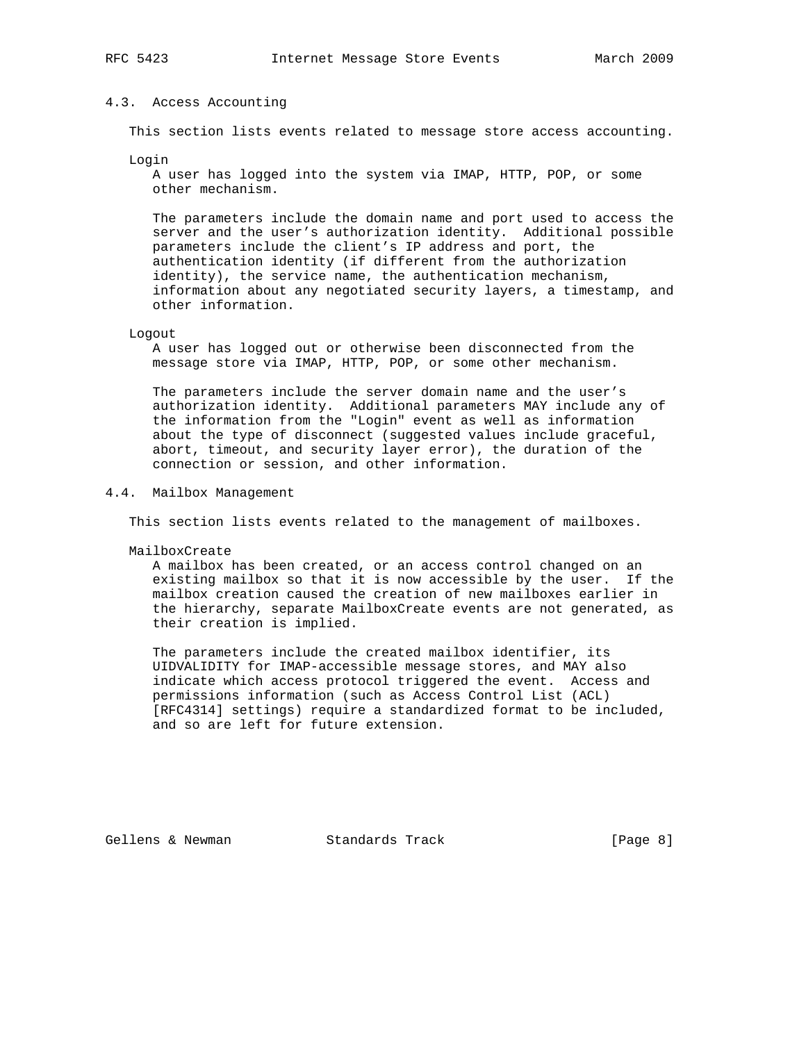### 4.3. Access Accounting

This section lists events related to message store access accounting.

Login

 A user has logged into the system via IMAP, HTTP, POP, or some other mechanism.

 The parameters include the domain name and port used to access the server and the user's authorization identity. Additional possible parameters include the client's IP address and port, the authentication identity (if different from the authorization identity), the service name, the authentication mechanism, information about any negotiated security layers, a timestamp, and other information.

### Logout

 A user has logged out or otherwise been disconnected from the message store via IMAP, HTTP, POP, or some other mechanism.

 The parameters include the server domain name and the user's authorization identity. Additional parameters MAY include any of the information from the "Login" event as well as information about the type of disconnect (suggested values include graceful, abort, timeout, and security layer error), the duration of the connection or session, and other information.

### 4.4. Mailbox Management

This section lists events related to the management of mailboxes.

MailboxCreate

 A mailbox has been created, or an access control changed on an existing mailbox so that it is now accessible by the user. If the mailbox creation caused the creation of new mailboxes earlier in the hierarchy, separate MailboxCreate events are not generated, as their creation is implied.

 The parameters include the created mailbox identifier, its UIDVALIDITY for IMAP-accessible message stores, and MAY also indicate which access protocol triggered the event. Access and permissions information (such as Access Control List (ACL) [RFC4314] settings) require a standardized format to be included, and so are left for future extension.

Gellens & Newman Standards Track (Page 8)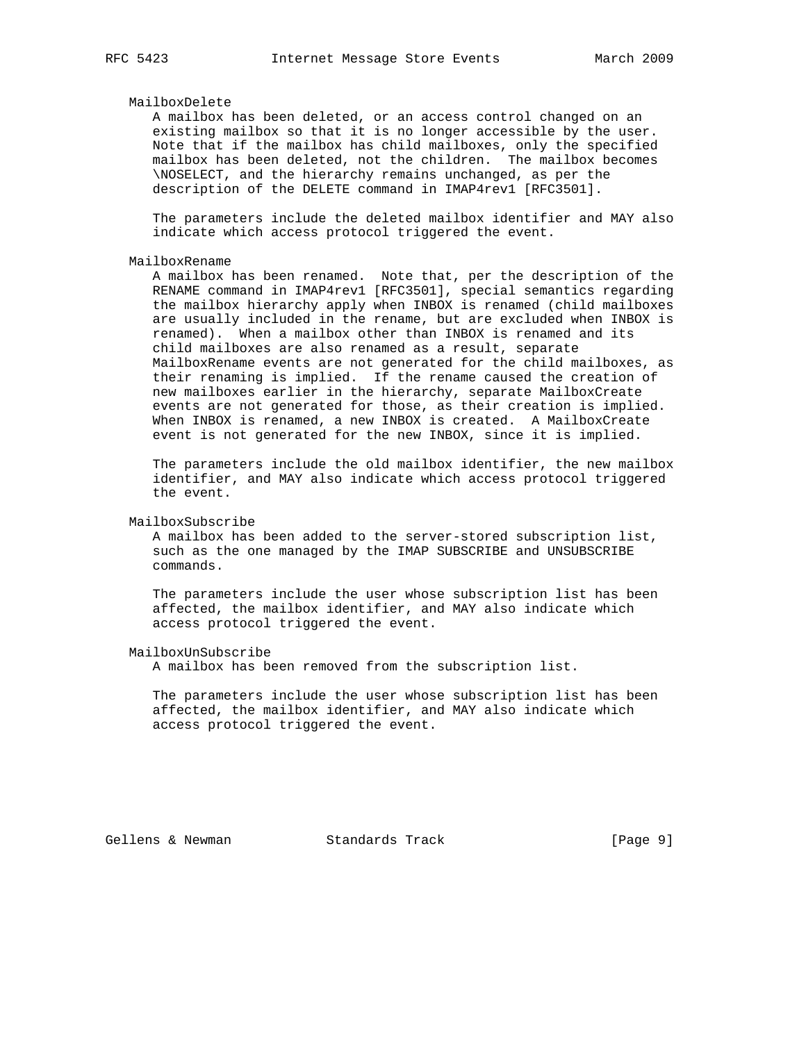### MailboxDelete

 A mailbox has been deleted, or an access control changed on an existing mailbox so that it is no longer accessible by the user. Note that if the mailbox has child mailboxes, only the specified mailbox has been deleted, not the children. The mailbox becomes \NOSELECT, and the hierarchy remains unchanged, as per the description of the DELETE command in IMAP4rev1 [RFC3501].

 The parameters include the deleted mailbox identifier and MAY also indicate which access protocol triggered the event.

### MailboxRename

 A mailbox has been renamed. Note that, per the description of the RENAME command in IMAP4rev1 [RFC3501], special semantics regarding the mailbox hierarchy apply when INBOX is renamed (child mailboxes are usually included in the rename, but are excluded when INBOX is renamed). When a mailbox other than INBOX is renamed and its child mailboxes are also renamed as a result, separate MailboxRename events are not generated for the child mailboxes, as their renaming is implied. If the rename caused the creation of new mailboxes earlier in the hierarchy, separate MailboxCreate events are not generated for those, as their creation is implied. When INBOX is renamed, a new INBOX is created. A MailboxCreate event is not generated for the new INBOX, since it is implied.

 The parameters include the old mailbox identifier, the new mailbox identifier, and MAY also indicate which access protocol triggered the event.

### MailboxSubscribe

 A mailbox has been added to the server-stored subscription list, such as the one managed by the IMAP SUBSCRIBE and UNSUBSCRIBE commands.

 The parameters include the user whose subscription list has been affected, the mailbox identifier, and MAY also indicate which access protocol triggered the event.

### MailboxUnSubscribe

A mailbox has been removed from the subscription list.

 The parameters include the user whose subscription list has been affected, the mailbox identifier, and MAY also indicate which access protocol triggered the event.

Gellens & Newman Standards Track (Page 9)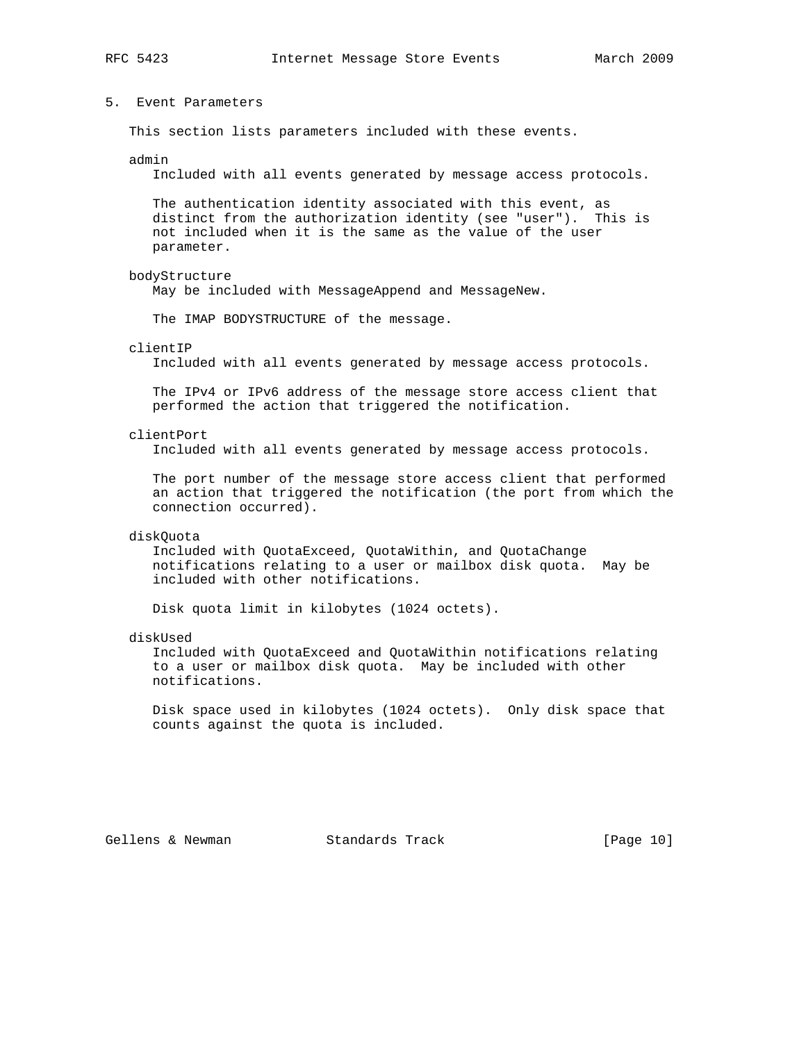## 5. Event Parameters

This section lists parameters included with these events.

### admin

Included with all events generated by message access protocols.

 The authentication identity associated with this event, as distinct from the authorization identity (see "user"). This is not included when it is the same as the value of the user parameter.

### bodyStructure

May be included with MessageAppend and MessageNew.

The IMAP BODYSTRUCTURE of the message.

### clientIP

Included with all events generated by message access protocols.

 The IPv4 or IPv6 address of the message store access client that performed the action that triggered the notification.

### clientPort

Included with all events generated by message access protocols.

 The port number of the message store access client that performed an action that triggered the notification (the port from which the connection occurred).

### diskQuota

 Included with QuotaExceed, QuotaWithin, and QuotaChange notifications relating to a user or mailbox disk quota. May be included with other notifications.

Disk quota limit in kilobytes (1024 octets).

#### diskUsed

 Included with QuotaExceed and QuotaWithin notifications relating to a user or mailbox disk quota. May be included with other notifications.

 Disk space used in kilobytes (1024 octets). Only disk space that counts against the quota is included.

Gellens & Newman Standards Track [Page 10]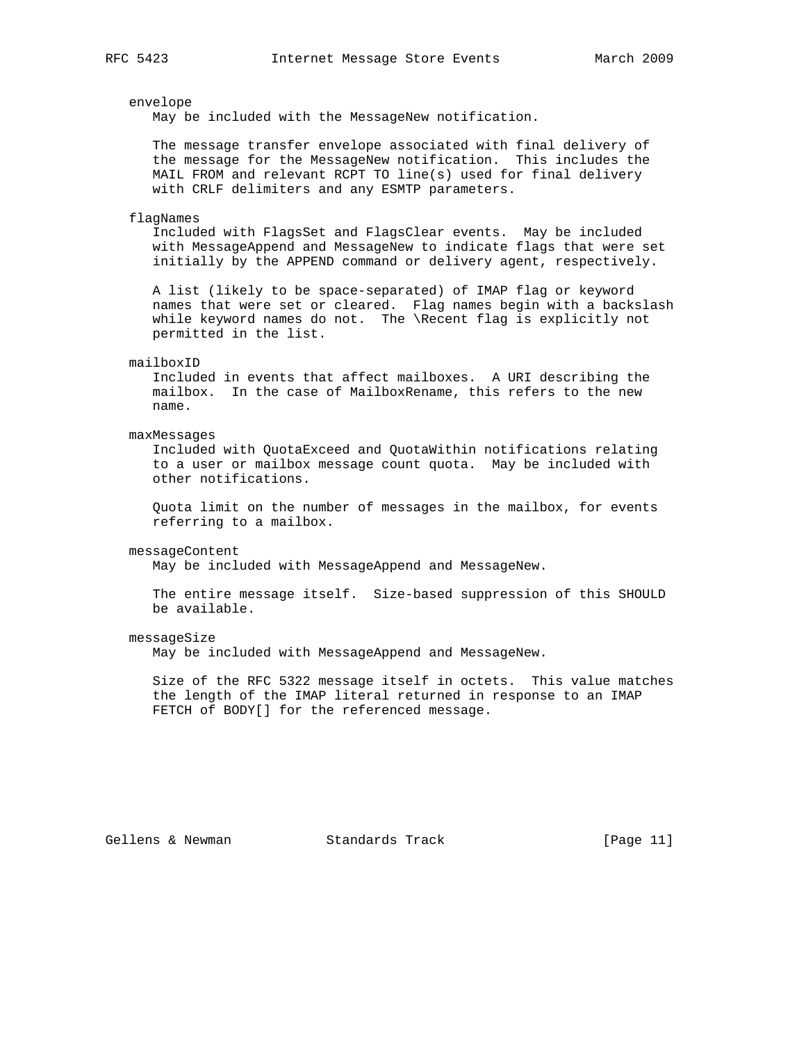### envelope

May be included with the MessageNew notification.

 The message transfer envelope associated with final delivery of the message for the MessageNew notification. This includes the MAIL FROM and relevant RCPT TO line(s) used for final delivery with CRLF delimiters and any ESMTP parameters.

#### flagNames

 Included with FlagsSet and FlagsClear events. May be included with MessageAppend and MessageNew to indicate flags that were set initially by the APPEND command or delivery agent, respectively.

 A list (likely to be space-separated) of IMAP flag or keyword names that were set or cleared. Flag names begin with a backslash while keyword names do not. The \Recent flag is explicitly not permitted in the list.

#### mailboxID

 Included in events that affect mailboxes. A URI describing the mailbox. In the case of MailboxRename, this refers to the new name.

### maxMessages

 Included with QuotaExceed and QuotaWithin notifications relating to a user or mailbox message count quota. May be included with other notifications.

 Quota limit on the number of messages in the mailbox, for events referring to a mailbox.

### messageContent

May be included with MessageAppend and MessageNew.

 The entire message itself. Size-based suppression of this SHOULD be available.

### messageSize

May be included with MessageAppend and MessageNew.

 Size of the RFC 5322 message itself in octets. This value matches the length of the IMAP literal returned in response to an IMAP FETCH of BODY[] for the referenced message.

Gellens & Newman Standards Track [Page 11]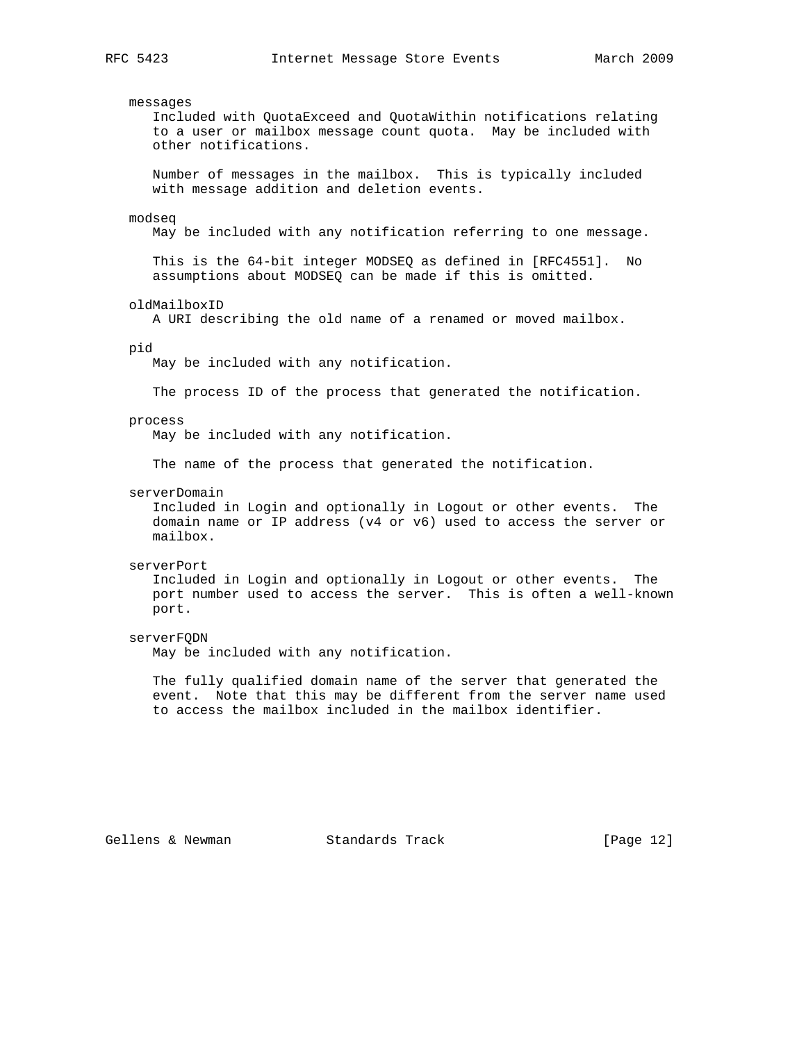# messages Included with QuotaExceed and QuotaWithin notifications relating to a user or mailbox message count quota. May be included with other notifications. Number of messages in the mailbox. This is typically included with message addition and deletion events. modseq May be included with any notification referring to one message. This is the 64-bit integer MODSEQ as defined in [RFC4551]. No assumptions about MODSEQ can be made if this is omitted. oldMailboxID A URI describing the old name of a renamed or moved mailbox. pid May be included with any notification. The process ID of the process that generated the notification. process May be included with any notification. The name of the process that generated the notification. serverDomain Included in Login and optionally in Logout or other events. The domain name or IP address (v4 or v6) used to access the server or mailbox. serverPort Included in Login and optionally in Logout or other events. The port number used to access the server. This is often a well-known port. serverFQDN May be included with any notification. The fully qualified domain name of the server that generated the event. Note that this may be different from the server name used to access the mailbox included in the mailbox identifier.

Gellens & Newman Standards Track [Page 12]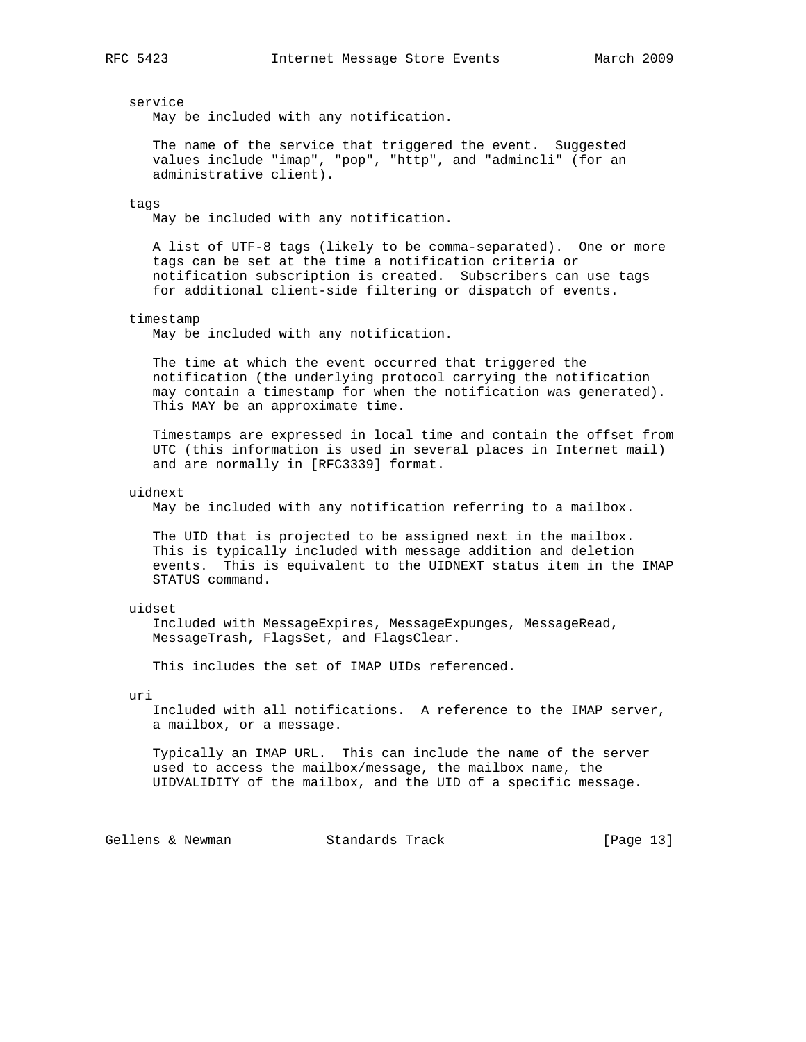service

May be included with any notification.

 The name of the service that triggered the event. Suggested values include "imap", "pop", "http", and "admincli" (for an administrative client).

### tags

May be included with any notification.

 A list of UTF-8 tags (likely to be comma-separated). One or more tags can be set at the time a notification criteria or notification subscription is created. Subscribers can use tags for additional client-side filtering or dispatch of events.

### timestamp

May be included with any notification.

 The time at which the event occurred that triggered the notification (the underlying protocol carrying the notification may contain a timestamp for when the notification was generated). This MAY be an approximate time.

 Timestamps are expressed in local time and contain the offset from UTC (this information is used in several places in Internet mail) and are normally in [RFC3339] format.

uidnext

May be included with any notification referring to a mailbox.

 The UID that is projected to be assigned next in the mailbox. This is typically included with message addition and deletion events. This is equivalent to the UIDNEXT status item in the IMAP STATUS command.

#### uidset

 Included with MessageExpires, MessageExpunges, MessageRead, MessageTrash, FlagsSet, and FlagsClear.

This includes the set of IMAP UIDs referenced.

### uri

 Included with all notifications. A reference to the IMAP server, a mailbox, or a message.

 Typically an IMAP URL. This can include the name of the server used to access the mailbox/message, the mailbox name, the UIDVALIDITY of the mailbox, and the UID of a specific message.

Gellens & Newman Standards Track [Page 13]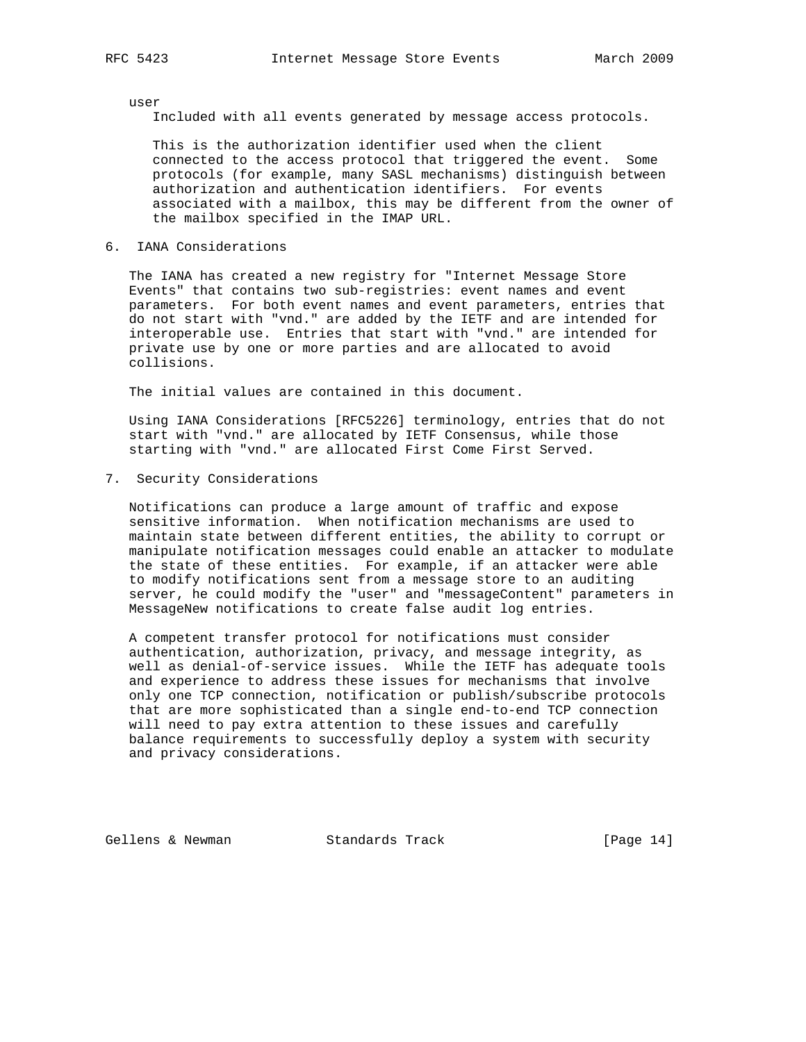user

Included with all events generated by message access protocols.

 This is the authorization identifier used when the client connected to the access protocol that triggered the event. Some protocols (for example, many SASL mechanisms) distinguish between authorization and authentication identifiers. For events associated with a mailbox, this may be different from the owner of the mailbox specified in the IMAP URL.

6. IANA Considerations

 The IANA has created a new registry for "Internet Message Store Events" that contains two sub-registries: event names and event parameters. For both event names and event parameters, entries that do not start with "vnd." are added by the IETF and are intended for interoperable use. Entries that start with "vnd." are intended for private use by one or more parties and are allocated to avoid collisions.

The initial values are contained in this document.

 Using IANA Considerations [RFC5226] terminology, entries that do not start with "vnd." are allocated by IETF Consensus, while those starting with "vnd." are allocated First Come First Served.

7. Security Considerations

 Notifications can produce a large amount of traffic and expose sensitive information. When notification mechanisms are used to maintain state between different entities, the ability to corrupt or manipulate notification messages could enable an attacker to modulate the state of these entities. For example, if an attacker were able to modify notifications sent from a message store to an auditing server, he could modify the "user" and "messageContent" parameters in MessageNew notifications to create false audit log entries.

 A competent transfer protocol for notifications must consider authentication, authorization, privacy, and message integrity, as well as denial-of-service issues. While the IETF has adequate tools and experience to address these issues for mechanisms that involve only one TCP connection, notification or publish/subscribe protocols that are more sophisticated than a single end-to-end TCP connection will need to pay extra attention to these issues and carefully balance requirements to successfully deploy a system with security and privacy considerations.

Gellens & Newman Standards Track [Page 14]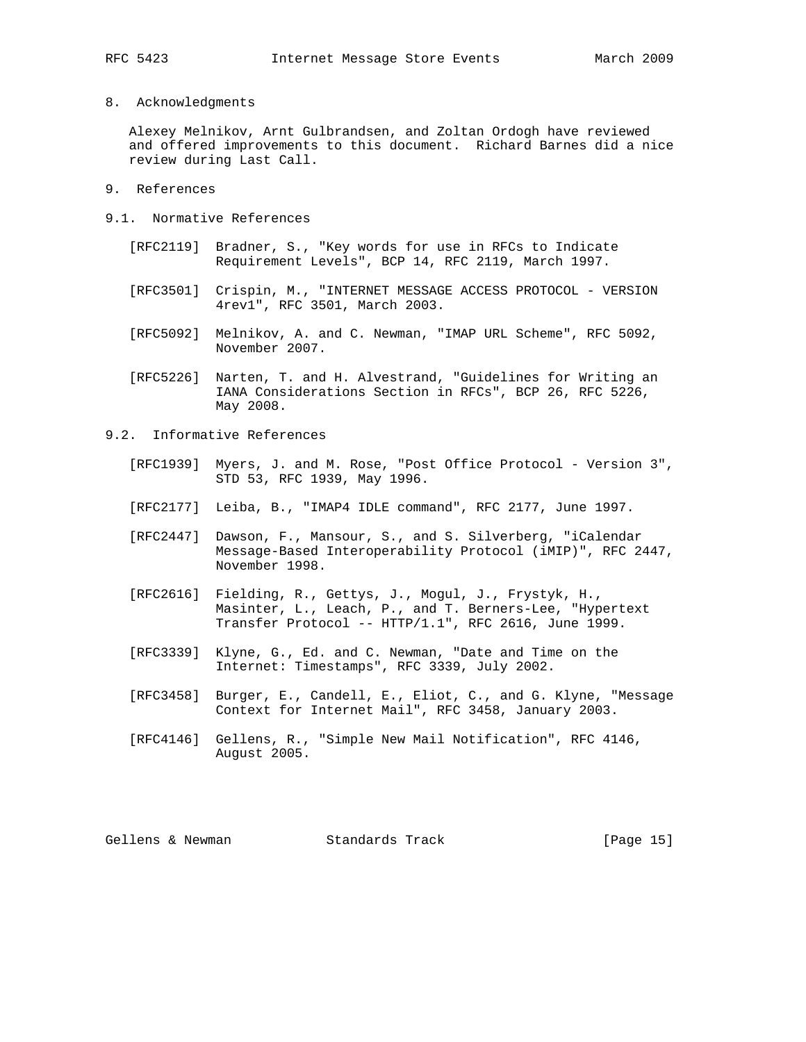8. Acknowledgments

 Alexey Melnikov, Arnt Gulbrandsen, and Zoltan Ordogh have reviewed and offered improvements to this document. Richard Barnes did a nice review during Last Call.

- 9. References
- 9.1. Normative References
	- [RFC2119] Bradner, S., "Key words for use in RFCs to Indicate Requirement Levels", BCP 14, RFC 2119, March 1997.
	- [RFC3501] Crispin, M., "INTERNET MESSAGE ACCESS PROTOCOL VERSION 4rev1", RFC 3501, March 2003.
	- [RFC5092] Melnikov, A. and C. Newman, "IMAP URL Scheme", RFC 5092, November 2007.
	- [RFC5226] Narten, T. and H. Alvestrand, "Guidelines for Writing an IANA Considerations Section in RFCs", BCP 26, RFC 5226, May 2008.
- 9.2. Informative References
	- [RFC1939] Myers, J. and M. Rose, "Post Office Protocol Version 3", STD 53, RFC 1939, May 1996.
	- [RFC2177] Leiba, B., "IMAP4 IDLE command", RFC 2177, June 1997.
	- [RFC2447] Dawson, F., Mansour, S., and S. Silverberg, "iCalendar Message-Based Interoperability Protocol (iMIP)", RFC 2447, November 1998.
	- [RFC2616] Fielding, R., Gettys, J., Mogul, J., Frystyk, H., Masinter, L., Leach, P., and T. Berners-Lee, "Hypertext Transfer Protocol -- HTTP/1.1", RFC 2616, June 1999.
	- [RFC3339] Klyne, G., Ed. and C. Newman, "Date and Time on the Internet: Timestamps", RFC 3339, July 2002.
	- [RFC3458] Burger, E., Candell, E., Eliot, C., and G. Klyne, "Message Context for Internet Mail", RFC 3458, January 2003.
	- [RFC4146] Gellens, R., "Simple New Mail Notification", RFC 4146, August 2005.

Gellens & Newman Standards Track [Page 15]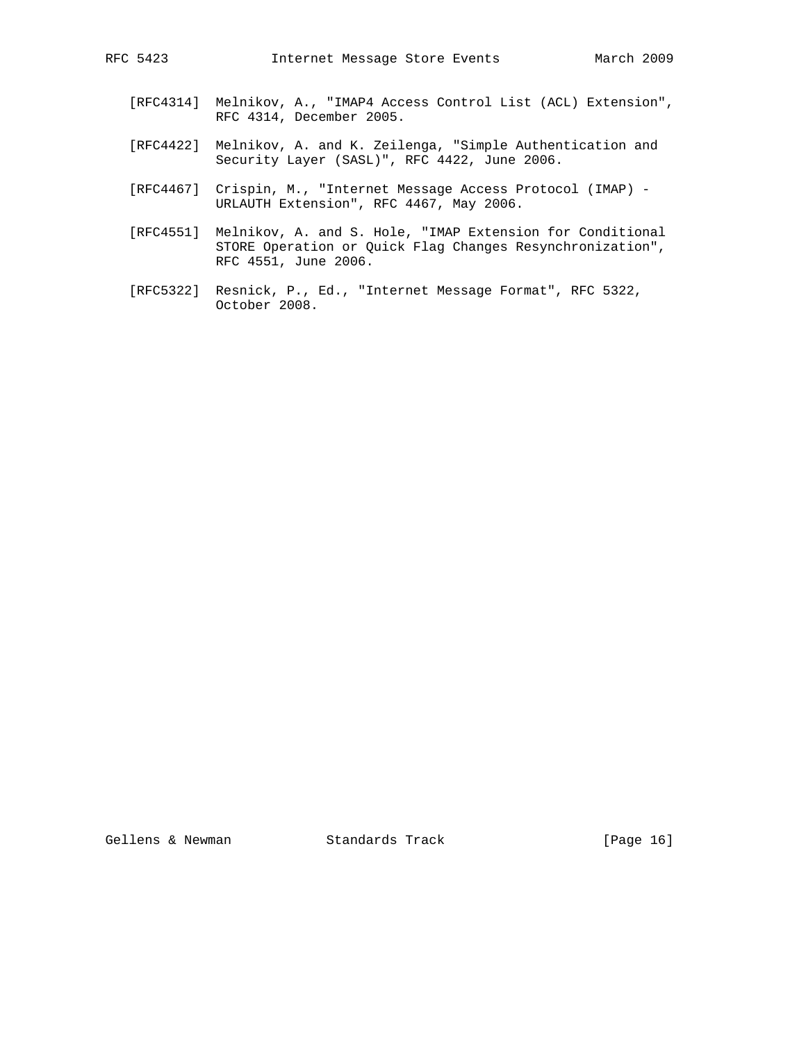- [RFC4314] Melnikov, A., "IMAP4 Access Control List (ACL) Extension", RFC 4314, December 2005.
- [RFC4422] Melnikov, A. and K. Zeilenga, "Simple Authentication and Security Layer (SASL)", RFC 4422, June 2006.
- [RFC4467] Crispin, M., "Internet Message Access Protocol (IMAP) URLAUTH Extension", RFC 4467, May 2006.
- [RFC4551] Melnikov, A. and S. Hole, "IMAP Extension for Conditional STORE Operation or Quick Flag Changes Resynchronization", RFC 4551, June 2006.
- [RFC5322] Resnick, P., Ed., "Internet Message Format", RFC 5322, October 2008.